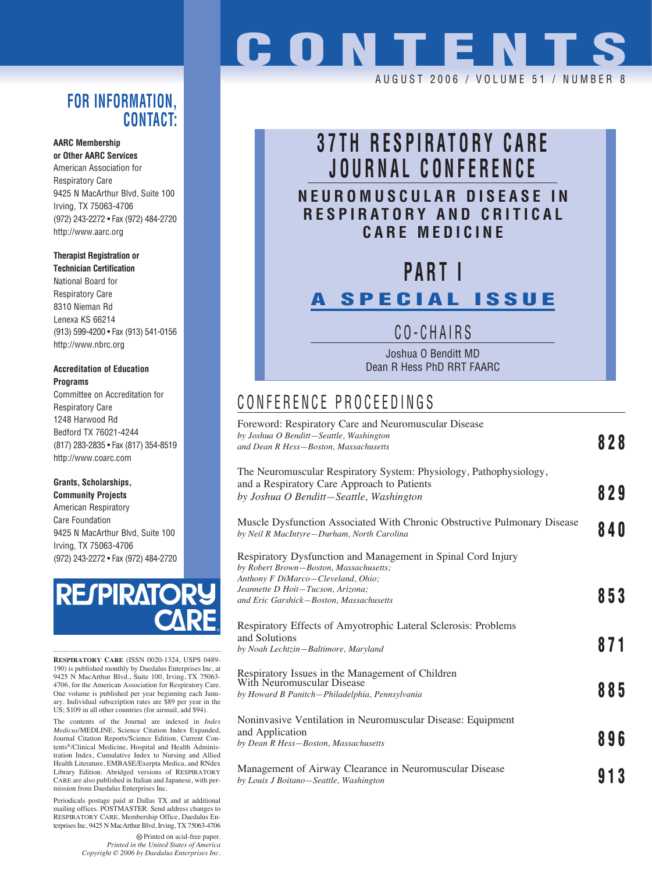### **FOR INFORMATION, CONTACT:**

#### **AARC Membership**

**or Other AARC Services** American Association for Respiratory Care 9425 N MacArthur Blvd, Suite 100 Irving, TX 75063-4706 (972) 243-2272 • Fax (972) 484-2720 http://www.aarc.org

#### **Therapist Registration or**

**Technician Certification** National Board for Respiratory Care 8310 Nieman Rd Lenexa KS 66214 (913) 599-4200 • Fax (913) 541-0156 http://www.nbrc.org

#### **Accreditation of Education Programs**

Committee on Accreditation for Respiratory Care 1248 Harwood Rd Bedford TX 76021-4244 (817) 283-2835 • Fax (817) 354-8519 http://www.coarc.com

#### **Grants, Scholarships,**

**Community Projects** American Respiratory Care Foundation 9425 N MacArthur Blvd, Suite 100 Irving, TX 75063-4706 (972) 243-2272 • Fax (972) 484-2720



**RESPIRATORY CARE** (ISSN 0020-1324, USPS 0489- 190) is published monthly by Daedalus Enterprises Inc, at 9425 N MacArthur Blvd., Suite 100, Irving, TX 75063- 4706, for the American Association for Respiratory Care. One volume is published per year beginning each January. Individual subscription rates are \$89 per year in the US; \$109 in all other countries (for airmail, add \$94).

The contents of the Journal are indexed in *Index Medicus*/MEDLINE, Science Citation Index Expanded, Journal Citation Reports/Science Edition, Current Contents®/Clinical Medicine, Hospital and Health Administration Index, Cumulative Index to Nursing and Allied Health Literature, EMBASE/Exerpta Medica, and RNdex Library Edition. Abridged versions of RESPIRATORY CARE are also published in Italian and Japanese, with permission from Daedalus Enterprises Inc.

Periodicals postage paid at Dallas TX and at additional mailing offices. POSTMASTER: Send address changes to RESPIRATORY CARE, Membership Office, Daedalus Enterprises Inc, 9425 N MacArthur Blvd, Irving, TX 75063-4706

> Printed on acid-free paper. *Printed in the United States of America Copyright © 2006 by Daedalus Enterprises Inc.*

# **CONTENTS**

AUGUST 2006 / VOLUME 51 / NUMBER 8

# **37TH RESPIRATORY CARE JOURNAL CONFERENCE NEUROMUSCULAR DISEASE IN RESPIRATORY AND CRITICAL**

**CARE MEDICINE**

# **PART I A SPECIAL ISSUE**

## CO-CHAIRS

Joshua O Benditt MD Dean R Hess PhD RRT FAARC

## CONFERENCE PROCEEDINGS

| Foreword: Respiratory Care and Neuromuscular Disease<br>by Joshua O Benditt-Seattle, Washington<br>and Dean R Hess-Boston, Massachusetts                                                                                     | 828 |
|------------------------------------------------------------------------------------------------------------------------------------------------------------------------------------------------------------------------------|-----|
| The Neuromuscular Respiratory System: Physiology, Pathophysiology,<br>and a Respiratory Care Approach to Patients<br>by Joshua O Benditt-Seattle, Washington                                                                 | 829 |
| Muscle Dysfunction Associated With Chronic Obstructive Pulmonary Disease<br>by Neil R MacIntyre-Durham, North Carolina                                                                                                       | 840 |
| Respiratory Dysfunction and Management in Spinal Cord Injury<br>by Robert Brown-Boston, Massachusetts;<br>Anthony F DiMarco-Cleveland, Ohio;<br>Jeannette D Hoit-Tucson, Arizona;<br>and Eric Garshick-Boston, Massachusetts | 853 |
| Respiratory Effects of Amyotrophic Lateral Sclerosis: Problems<br>and Solutions<br>by Noah Lechtzin-Baltimore, Maryland                                                                                                      | 871 |
| Respiratory Issues in the Management of Children<br>With Neuromuscular Disease<br>by Howard B Panitch-Philadelphia, Pennsylvania                                                                                             | 885 |
| Noninvasive Ventilation in Neuromuscular Disease: Equipment<br>and Application<br>by Dean R Hess-Boston, Massachusetts                                                                                                       | 896 |
| Management of Airway Clearance in Neuromuscular Disease<br>by Louis J Boitano-Seattle, Washington                                                                                                                            | 913 |